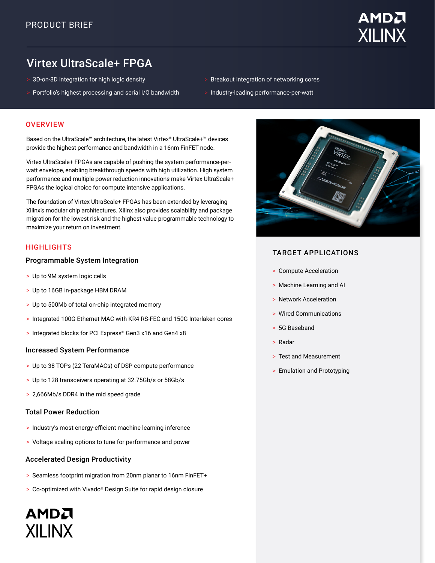

# Virtex UltraScale+ FPGA

- > 3D-on-3D integration for high logic density
- > Portfolio's highest processing and serial I/O bandwidth
- > Breakout integration of networking cores
- > Industry-leading performance-per-watt

#### **OVERVIEW**

Based on the UltraScale™ architecture, the latest Virtex® UltraScale+™ devices provide the highest performance and bandwidth in a 16nm FinFET node.

Virtex UltraScale+ FPGAs are capable of pushing the system performance-perwatt envelope, enabling breakthrough speeds with high utilization. High system performance and multiple power reduction innovations make Virtex UltraScale+ FPGAs the logical choice for compute intensive applications.

The foundation of Virtex UltraScale+ FPGAs has been extended by leveraging Xilinx's modular chip architectures. Xilinx also provides scalability and package migration for the lowest risk and the highest value programmable technology to maximize your return on investment.

# **HIGHLIGHTS**

#### Programmable System Integration

- > Up to 9M system logic cells
- > Up to 16GB in-package HBM DRAM
- > Up to 500Mb of total on-chip integrated memory
- > Integrated 100G Ethernet MAC with KR4 RS-FEC and 150G Interlaken cores
- > Integrated blocks for PCI Express® Gen3 x16 and Gen4 x8

#### Increased System Performance

- > Up to 38 TOPs (22 TeraMACs) of DSP compute performance
- > Up to 128 transceivers operating at 32.75Gb/s or 58Gb/s
- > 2,666Mb/s DDR4 in the mid speed grade

# Total Power Reduction

AMDA

**XII INX** 

- > Industry's most energy-efficient machine learning inference
- > Voltage scaling options to tune for performance and power

# Accelerated Design Productivity

- > Seamless footprint migration from 20nm planar to 16nm FinFET+
- > Co-optimized with Vivado® Design Suite for rapid design closure



# TARGET APPLICATIONS

- > Compute Acceleration
- > Machine Learning and AI
- > Network Acceleration
- > Wired Communications
- > 5G Baseband
- > Radar
- > Test and Measurement
- > Emulation and Prototyping